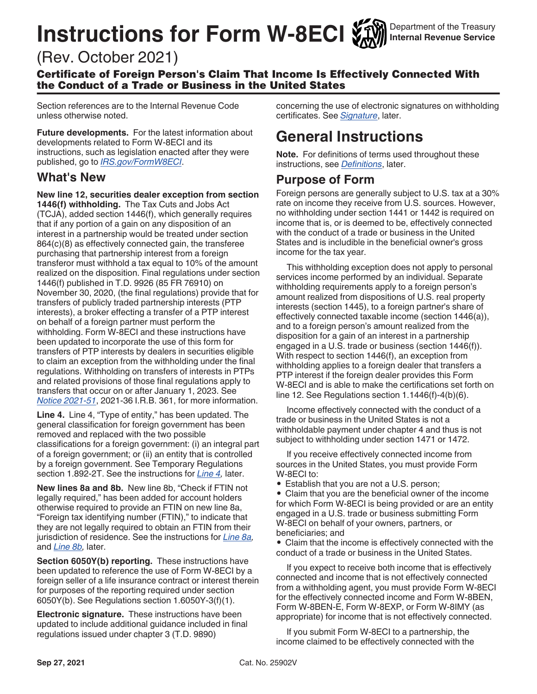# **Instructions for Form W-8ECI**

## (Rev. October 2021)

Certificate of Foreign Person's Claim That Income Is Effectively Connected With the Conduct of a Trade or Business in the United States

Section references are to the Internal Revenue Code unless otherwise noted.

**Future developments.** For the latest information about developments related to Form W-8ECI and its instructions, such as legislation enacted after they were published, go to *[IRS.gov/FormW8ECI](https://www.irs.gov/formw8eci)*.

#### **What's New**

**New line 12, securities dealer exception from section 1446(f) withholding.** The Tax Cuts and Jobs Act (TCJA), added section 1446(f), which generally requires that if any portion of a gain on any disposition of an interest in a partnership would be treated under section 864(c)(8) as effectively connected gain, the transferee purchasing that partnership interest from a foreign transferor must withhold a tax equal to 10% of the amount realized on the disposition. Final regulations under section 1446(f) published in T.D. 9926 (85 FR 76910) on November 30, 2020, (the final regulations) provide that for transfers of publicly traded partnership interests (PTP interests), a broker effecting a transfer of a PTP interest on behalf of a foreign partner must perform the withholding. Form W-8ECI and these instructions have been updated to incorporate the use of this form for transfers of PTP interests by dealers in securities eligible to claim an exception from the withholding under the final regulations. Withholding on transfers of interests in PTPs and related provisions of those final regulations apply to transfers that occur on or after January 1, 2023. See *[Notice 2021-51](https://www.irs.gov/irb/2021-36_IRB#NOT-2021-51)*, 2021-36 I.R.B. 361, for more information.

**Line 4.** Line 4, "Type of entity," has been updated. The general classification for foreign government has been removed and replaced with the two possible classifications for a foreign government: (i) an integral part of a foreign government; or (ii) an entity that is controlled by a foreign government. See Temporary Regulations section 1.892-2T. See the instructions for *[Line 4,](#page-4-0)* later.

**New lines 8a and 8b.** New line 8b, "Check if FTIN not legally required," has been added for account holders otherwise required to provide an FTIN on new line 8a, "Foreign tax identifying number (FTIN)," to indicate that they are not legally required to obtain an FTIN from their jurisdiction of residence. See the instructions for *[Line 8a,](#page-4-0)*  and *[Line 8b,](#page-5-0)* later.

**Section 6050Y(b) reporting.** These instructions have been updated to reference the use of Form W-8ECI by a foreign seller of a life insurance contract or interest therein for purposes of the reporting required under section 6050Y(b). See Regulations section 1.6050Y-3(f)(1).

**Electronic signature.** These instructions have been updated to include additional guidance included in final regulations issued under chapter 3 (T.D. 9890)

concerning the use of electronic signatures on withholding certificates. See *[Signature](#page-5-0)*, later.

### **General Instructions**

**Note.** For definitions of terms used throughout these instructions, see *[Definitions](#page-2-0)*, later.

#### **Purpose of Form**

Foreign persons are generally subject to U.S. tax at a 30% rate on income they receive from U.S. sources. However, no withholding under section 1441 or 1442 is required on income that is, or is deemed to be, effectively connected with the conduct of a trade or business in the United States and is includible in the beneficial owner's gross income for the tax year.

This withholding exception does not apply to personal services income performed by an individual. Separate withholding requirements apply to a foreign person's amount realized from dispositions of U.S. real property interests (section 1445), to a foreign partner's share of effectively connected taxable income (section 1446(a)), and to a foreign person's amount realized from the disposition for a gain of an interest in a partnership engaged in a U.S. trade or business (section 1446(f)). With respect to section 1446(f), an exception from withholding applies to a foreign dealer that transfers a PTP interest if the foreign dealer provides this Form W-8ECI and is able to make the certifications set forth on line 12. See Regulations section 1.1446(f)-4(b)(6).

Income effectively connected with the conduct of a trade or business in the United States is not a withholdable payment under chapter 4 and thus is not subject to withholding under section 1471 or 1472.

If you receive effectively connected income from sources in the United States, you must provide Form W-8ECI to:

• Establish that you are not a U.S. person;

• Claim that you are the beneficial owner of the income for which Form W-8ECI is being provided or are an entity engaged in a U.S. trade or business submitting Form W-8ECI on behalf of your owners, partners, or beneficiaries; and

• Claim that the income is effectively connected with the conduct of a trade or business in the United States.

If you expect to receive both income that is effectively connected and income that is not effectively connected from a withholding agent, you must provide Form W-8ECI for the effectively connected income and Form W-8BEN, Form W-8BEN-E, Form W-8EXP, or Form W-8IMY (as appropriate) for income that is not effectively connected.

If you submit Form W-8ECI to a partnership, the income claimed to be effectively connected with the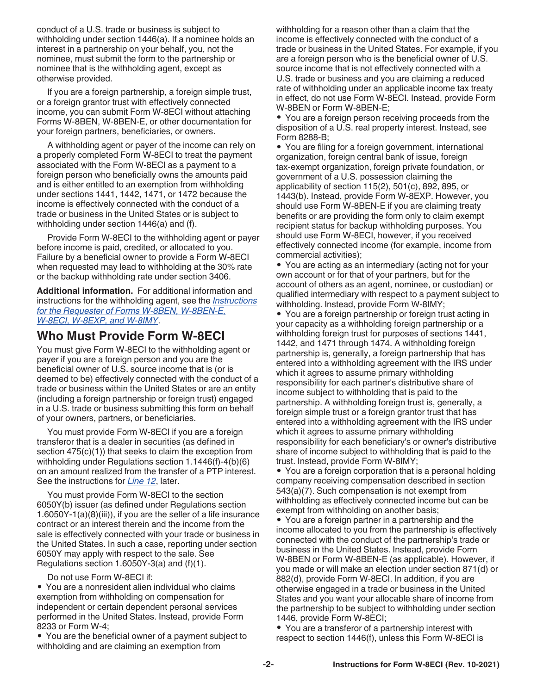conduct of a U.S. trade or business is subject to withholding under section 1446(a). If a nominee holds an interest in a partnership on your behalf, you, not the nominee, must submit the form to the partnership or nominee that is the withholding agent, except as otherwise provided.

If you are a foreign partnership, a foreign simple trust, or a foreign grantor trust with effectively connected income, you can submit Form W-8ECI without attaching Forms W-8BEN, W-8BEN-E, or other documentation for your foreign partners, beneficiaries, or owners.

A withholding agent or payer of the income can rely on a properly completed Form W-8ECI to treat the payment associated with the Form W-8ECI as a payment to a foreign person who beneficially owns the amounts paid and is either entitled to an exemption from withholding under sections 1441, 1442, 1471, or 1472 because the income is effectively connected with the conduct of a trade or business in the United States or is subject to withholding under section 1446(a) and (f).

Provide Form W-8ECI to the withholding agent or payer before income is paid, credited, or allocated to you. Failure by a beneficial owner to provide a Form W-8ECI when requested may lead to withholding at the 30% rate or the backup withholding rate under section 3406.

**Additional information.** For additional information and instructions for the withholding agent, see the *[Instructions](https://www.irs.gov/forms-pubs/about-form-w-8) [for the Requester of Forms W-8BEN, W-8BEN-E,](https://www.irs.gov/forms-pubs/about-form-w-8)  [W-8ECI, W-8EXP, and W-8IMY](https://www.irs.gov/forms-pubs/about-form-w-8)*.

#### **Who Must Provide Form W-8ECI**

You must give Form W-8ECI to the withholding agent or payer if you are a foreign person and you are the beneficial owner of U.S. source income that is (or is deemed to be) effectively connected with the conduct of a trade or business within the United States or are an entity (including a foreign partnership or foreign trust) engaged in a U.S. trade or business submitting this form on behalf of your owners, partners, or beneficiaries.

You must provide Form W-8ECI if you are a foreign transferor that is a dealer in securities (as defined in section  $475(c)(1)$ ) that seeks to claim the exception from withholding under Regulations section 1.1446(f)-4(b)(6) on an amount realized from the transfer of a PTP interest. See the instructions for *[Line 12](#page-5-0)*, later.

You must provide Form W-8ECI to the section 6050Y(b) issuer (as defined under Regulations section 1.6050Y-1(a)(8)(iii)), if you are the seller of a life insurance contract or an interest therein and the income from the sale is effectively connected with your trade or business in the United States. In such a case, reporting under section 6050Y may apply with respect to the sale. See Regulations section 1.6050Y-3(a) and (f)(1).

Do not use Form W-8ECI if:

• You are a nonresident alien individual who claims exemption from withholding on compensation for independent or certain dependent personal services performed in the United States. Instead, provide Form 8233 or Form W-4;

• You are the beneficial owner of a payment subject to withholding and are claiming an exemption from

withholding for a reason other than a claim that the income is effectively connected with the conduct of a trade or business in the United States. For example, if you are a foreign person who is the beneficial owner of U.S. source income that is not effectively connected with a U.S. trade or business and you are claiming a reduced rate of withholding under an applicable income tax treaty in effect, do not use Form W-8ECI. Instead, provide Form W-8BEN or Form W-8BEN-E;

• You are a foreign person receiving proceeds from the disposition of a U.S. real property interest. Instead, see Form 8288-B;

• You are filing for a foreign government, international organization, foreign central bank of issue, foreign tax-exempt organization, foreign private foundation, or government of a U.S. possession claiming the applicability of section 115(2), 501(c), 892, 895, or 1443(b). Instead, provide Form W-8EXP. However, you should use Form W-8BEN-E if you are claiming treaty benefits or are providing the form only to claim exempt recipient status for backup withholding purposes. You should use Form W-8ECI, however, if you received effectively connected income (for example, income from commercial activities);

• You are acting as an intermediary (acting not for your own account or for that of your partners, but for the account of others as an agent, nominee, or custodian) or qualified intermediary with respect to a payment subject to withholding. Instead, provide Form W-8IMY;

• You are a foreign partnership or foreign trust acting in your capacity as a withholding foreign partnership or a withholding foreign trust for purposes of sections 1441, 1442, and 1471 through 1474. A withholding foreign partnership is, generally, a foreign partnership that has entered into a withholding agreement with the IRS under which it agrees to assume primary withholding responsibility for each partner's distributive share of income subject to withholding that is paid to the partnership. A withholding foreign trust is, generally, a foreign simple trust or a foreign grantor trust that has entered into a withholding agreement with the IRS under which it agrees to assume primary withholding responsibility for each beneficiary's or owner's distributive share of income subject to withholding that is paid to the trust. Instead, provide Form W-8IMY;

• You are a foreign corporation that is a personal holding company receiving compensation described in section 543(a)(7). Such compensation is not exempt from withholding as effectively connected income but can be exempt from withholding on another basis;

• You are a foreign partner in a partnership and the income allocated to you from the partnership is effectively connected with the conduct of the partnership's trade or business in the United States. Instead, provide Form W-8BEN or Form W-8BEN-E (as applicable). However, if you made or will make an election under section 871(d) or 882(d), provide Form W-8ECI. In addition, if you are otherwise engaged in a trade or business in the United States and you want your allocable share of income from the partnership to be subject to withholding under section 1446, provide Form W-8ECI;

• You are a transferor of a partnership interest with respect to section 1446(f), unless this Form W-8ECI is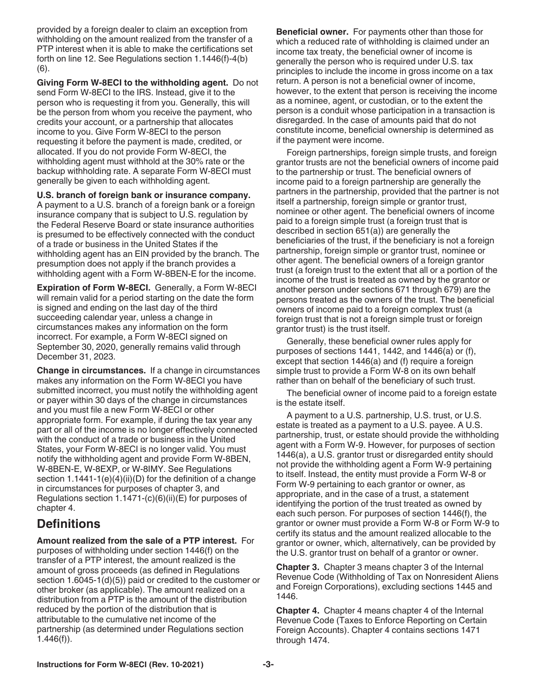<span id="page-2-0"></span>provided by a foreign dealer to claim an exception from withholding on the amount realized from the transfer of a PTP interest when it is able to make the certifications set forth on line 12. See Regulations section 1.1446(f)-4(b) (6).

**Giving Form W-8ECI to the withholding agent.** Do not send Form W-8ECI to the IRS. Instead, give it to the person who is requesting it from you. Generally, this will be the person from whom you receive the payment, who credits your account, or a partnership that allocates income to you. Give Form W-8ECI to the person requesting it before the payment is made, credited, or allocated. If you do not provide Form W-8ECI, the withholding agent must withhold at the 30% rate or the backup withholding rate. A separate Form W-8ECI must generally be given to each withholding agent.

**U.S. branch of foreign bank or insurance company.** 

A payment to a U.S. branch of a foreign bank or a foreign insurance company that is subject to U.S. regulation by the Federal Reserve Board or state insurance authorities is presumed to be effectively connected with the conduct of a trade or business in the United States if the withholding agent has an EIN provided by the branch. The presumption does not apply if the branch provides a withholding agent with a Form W-8BEN-E for the income.

**Expiration of Form W-8ECI.** Generally, a Form W-8ECI will remain valid for a period starting on the date the form is signed and ending on the last day of the third succeeding calendar year, unless a change in circumstances makes any information on the form incorrect. For example, a Form W-8ECI signed on September 30, 2020, generally remains valid through December 31, 2023.

**Change in circumstances.** If a change in circumstances makes any information on the Form W-8ECI you have submitted incorrect, you must notify the withholding agent or payer within 30 days of the change in circumstances and you must file a new Form W-8ECI or other appropriate form. For example, if during the tax year any part or all of the income is no longer effectively connected with the conduct of a trade or business in the United States, your Form W-8ECI is no longer valid. You must notify the withholding agent and provide Form W-8BEN, W-8BEN-E, W-8EXP, or W-8IMY. See Regulations section 1.1441-1(e)(4)(ii)(D) for the definition of a change in circumstances for purposes of chapter 3, and Regulations section  $1.1471-(c)(6)(ii)(E)$  for purposes of chapter 4.

#### **Definitions**

**Amount realized from the sale of a PTP interest.** For purposes of withholding under section 1446(f) on the transfer of a PTP interest, the amount realized is the amount of gross proceeds (as defined in Regulations section 1.6045-1(d)(5)) paid or credited to the customer or other broker (as applicable). The amount realized on a distribution from a PTP is the amount of the distribution reduced by the portion of the distribution that is attributable to the cumulative net income of the partnership (as determined under Regulations section 1.446(f)).

**Beneficial owner.** For payments other than those for which a reduced rate of withholding is claimed under an income tax treaty, the beneficial owner of income is generally the person who is required under U.S. tax principles to include the income in gross income on a tax return. A person is not a beneficial owner of income, however, to the extent that person is receiving the income as a nominee, agent, or custodian, or to the extent the person is a conduit whose participation in a transaction is disregarded. In the case of amounts paid that do not constitute income, beneficial ownership is determined as if the payment were income.

Foreign partnerships, foreign simple trusts, and foreign grantor trusts are not the beneficial owners of income paid to the partnership or trust. The beneficial owners of income paid to a foreign partnership are generally the partners in the partnership, provided that the partner is not itself a partnership, foreign simple or grantor trust, nominee or other agent. The beneficial owners of income paid to a foreign simple trust (a foreign trust that is described in section 651(a)) are generally the beneficiaries of the trust, if the beneficiary is not a foreign partnership, foreign simple or grantor trust, nominee or other agent. The beneficial owners of a foreign grantor trust (a foreign trust to the extent that all or a portion of the income of the trust is treated as owned by the grantor or another person under sections 671 through 679) are the persons treated as the owners of the trust. The beneficial owners of income paid to a foreign complex trust (a foreign trust that is not a foreign simple trust or foreign grantor trust) is the trust itself.

Generally, these beneficial owner rules apply for purposes of sections 1441, 1442, and 1446(a) or (f), except that section 1446(a) and (f) require a foreign simple trust to provide a Form W-8 on its own behalf rather than on behalf of the beneficiary of such trust.

The beneficial owner of income paid to a foreign estate is the estate itself.

A payment to a U.S. partnership, U.S. trust, or U.S. estate is treated as a payment to a U.S. payee. A U.S. partnership, trust, or estate should provide the withholding agent with a Form W-9. However, for purposes of section 1446(a), a U.S. grantor trust or disregarded entity should not provide the withholding agent a Form W-9 pertaining to itself. Instead, the entity must provide a Form W-8 or Form W-9 pertaining to each grantor or owner, as appropriate, and in the case of a trust, a statement identifying the portion of the trust treated as owned by each such person. For purposes of section 1446(f), the grantor or owner must provide a Form W-8 or Form W-9 to certify its status and the amount realized allocable to the grantor or owner, which, alternatively, can be provided by the U.S. grantor trust on behalf of a grantor or owner.

**Chapter 3.** Chapter 3 means chapter 3 of the Internal Revenue Code (Withholding of Tax on Nonresident Aliens and Foreign Corporations), excluding sections 1445 and 1446.

**Chapter 4.** Chapter 4 means chapter 4 of the Internal Revenue Code (Taxes to Enforce Reporting on Certain Foreign Accounts). Chapter 4 contains sections 1471 through 1474.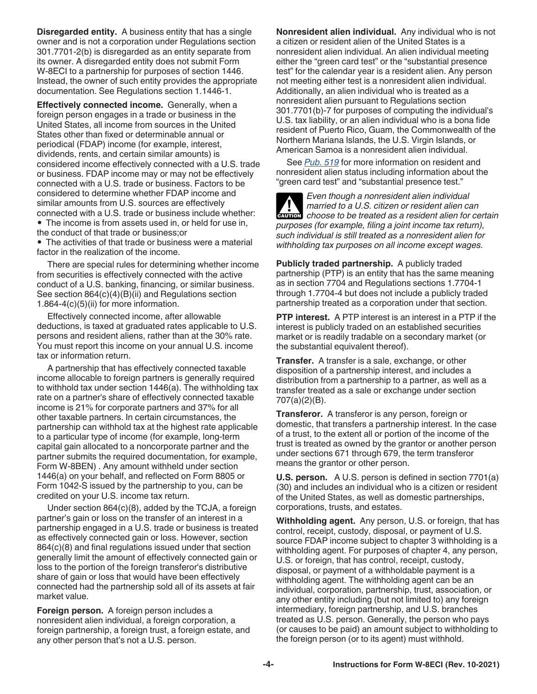**Disregarded entity.** A business entity that has a single owner and is not a corporation under Regulations section 301.7701-2(b) is disregarded as an entity separate from its owner. A disregarded entity does not submit Form W-8ECI to a partnership for purposes of section 1446. Instead, the owner of such entity provides the appropriate documentation. See Regulations section 1.1446-1.

**Effectively connected income.** Generally, when a foreign person engages in a trade or business in the United States, all income from sources in the United States other than fixed or determinable annual or periodical (FDAP) income (for example, interest, dividends, rents, and certain similar amounts) is considered income effectively connected with a U.S. trade or business. FDAP income may or may not be effectively connected with a U.S. trade or business. Factors to be considered to determine whether FDAP income and similar amounts from U.S. sources are effectively connected with a U.S. trade or business include whether: • The income is from assets used in, or held for use in,

the conduct of that trade or business;or • The activities of that trade or business were a material factor in the realization of the income.

There are special rules for determining whether income from securities is effectively connected with the active conduct of a U.S. banking, financing, or similar business. See section 864(c)(4)(B)(ii) and Regulations section 1.864-4(c)(5)(ii) for more information.

Effectively connected income, after allowable deductions, is taxed at graduated rates applicable to U.S. persons and resident aliens, rather than at the 30% rate. You must report this income on your annual U.S. income tax or information return.

A partnership that has effectively connected taxable income allocable to foreign partners is generally required to withhold tax under section 1446(a). The withholding tax rate on a partner's share of effectively connected taxable income is 21% for corporate partners and 37% for all other taxable partners. In certain circumstances, the partnership can withhold tax at the highest rate applicable to a particular type of income (for example, long-term capital gain allocated to a noncorporate partner and the partner submits the required documentation, for example, Form W-8BEN) . Any amount withheld under section 1446(a) on your behalf, and reflected on Form 8805 or Form 1042-S issued by the partnership to you, can be credited on your U.S. income tax return.

Under section 864(c)(8), added by the TCJA, a foreign partner's gain or loss on the transfer of an interest in a partnership engaged in a U.S. trade or business is treated as effectively connected gain or loss. However, section 864(c)(8) and final regulations issued under that section generally limit the amount of effectively connected gain or loss to the portion of the foreign transferor's distributive share of gain or loss that would have been effectively connected had the partnership sold all of its assets at fair market value.

**Foreign person.** A foreign person includes a nonresident alien individual, a foreign corporation, a foreign partnership, a foreign trust, a foreign estate, and any other person that's not a U.S. person.

**Nonresident alien individual.** Any individual who is not a citizen or resident alien of the United States is a nonresident alien individual. An alien individual meeting either the "green card test" or the "substantial presence test" for the calendar year is a resident alien. Any person not meeting either test is a nonresident alien individual. Additionally, an alien individual who is treated as a nonresident alien pursuant to Regulations section 301.7701(b)-7 for purposes of computing the individual's U.S. tax liability, or an alien individual who is a bona fide resident of Puerto Rico, Guam, the Commonwealth of the Northern Mariana Islands, the U.S. Virgin Islands, or American Samoa is a nonresident alien individual.

See *[Pub. 519](https://www.irs.gov/forms-pubs/about-publication-519)* for more information on resident and nonresident alien status including information about the "green card test" and "substantial presence test."

*Even though a nonresident alien individual married to a U.S. citizen or resident alien can choose to be treated as a resident alien can*<br> *choose to be treated as a resident alien for certain* 

*purposes (for example, filing a joint income tax return), such individual is still treated as a nonresident alien for withholding tax purposes on all income except wages.*

**Publicly traded partnership.** A publicly traded partnership (PTP) is an entity that has the same meaning as in section 7704 and Regulations sections 1.7704-1 through 1.7704-4 but does not include a publicly traded partnership treated as a corporation under that section.

**PTP interest.** A PTP interest is an interest in a PTP if the interest is publicly traded on an established securities market or is readily tradable on a secondary market (or the substantial equivalent thereof).

**Transfer.** A transfer is a sale, exchange, or other disposition of a partnership interest, and includes a distribution from a partnership to a partner, as well as a transfer treated as a sale or exchange under section 707(a)(2)(B).

**Transferor.** A transferor is any person, foreign or domestic, that transfers a partnership interest. In the case of a trust, to the extent all or portion of the income of the trust is treated as owned by the grantor or another person under sections 671 through 679, the term transferor means the grantor or other person.

**U.S. person.** A U.S. person is defined in section 7701(a) (30) and includes an individual who is a citizen or resident of the United States, as well as domestic partnerships, corporations, trusts, and estates.

**Withholding agent.** Any person, U.S. or foreign, that has control, receipt, custody, disposal, or payment of U.S. source FDAP income subject to chapter 3 withholding is a withholding agent. For purposes of chapter 4, any person, U.S. or foreign, that has control, receipt, custody, disposal, or payment of a withholdable payment is a withholding agent. The withholding agent can be an individual, corporation, partnership, trust, association, or any other entity including (but not limited to) any foreign intermediary, foreign partnership, and U.S. branches treated as U.S. person. Generally, the person who pays (or causes to be paid) an amount subject to withholding to the foreign person (or to its agent) must withhold.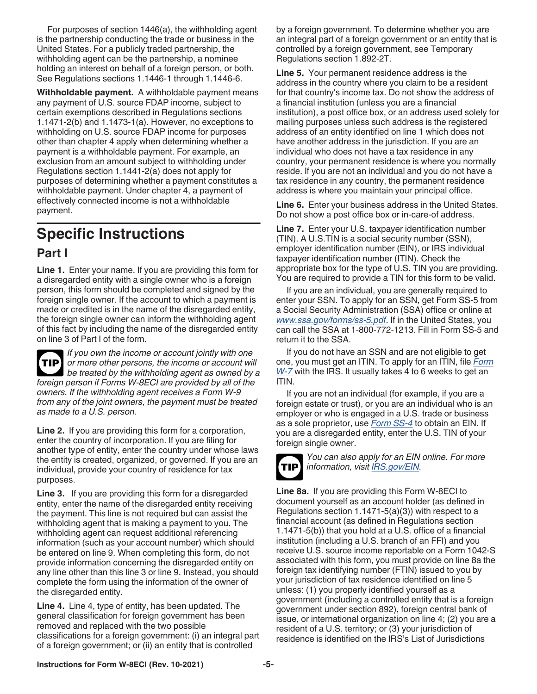<span id="page-4-0"></span>For purposes of section 1446(a), the withholding agent is the partnership conducting the trade or business in the United States. For a publicly traded partnership, the withholding agent can be the partnership, a nominee holding an interest on behalf of a foreign person, or both. See Regulations sections 1.1446-1 through 1.1446-6.

**Withholdable payment.** A withholdable payment means any payment of U.S. source FDAP income, subject to certain exemptions described in Regulations sections 1.1471-2(b) and 1.1473-1(a). However, no exceptions to withholding on U.S. source FDAP income for purposes other than chapter 4 apply when determining whether a payment is a withholdable payment. For example, an exclusion from an amount subject to withholding under Regulations section 1.1441-2(a) does not apply for purposes of determining whether a payment constitutes a withholdable payment. Under chapter 4, a payment of effectively connected income is not a withholdable payment.

# **Specific Instructions**

#### **Part I**

**Line 1.** Enter your name. If you are providing this form for a disregarded entity with a single owner who is a foreign person, this form should be completed and signed by the foreign single owner. If the account to which a payment is made or credited is in the name of the disregarded entity, the foreign single owner can inform the withholding agent of this fact by including the name of the disregarded entity on line 3 of Part I of the form.

*If you own the income or account jointly with one or more other persons, the income or account will*  **TIP** *be treated by the withholding agent as owned by a foreign person if Forms W-8ECI are provided by all of the owners. If the withholding agent receives a Form W-9 from any of the joint owners, the payment must be treated as made to a U.S. person.*

**Line 2.** If you are providing this form for a corporation, enter the country of incorporation. If you are filing for another type of entity, enter the country under whose laws the entity is created, organized, or governed. If you are an individual, provide your country of residence for tax purposes.

**Line 3.** If you are providing this form for a disregarded entity, enter the name of the disregarded entity receiving the payment. This line is not required but can assist the withholding agent that is making a payment to you. The withholding agent can request additional referencing information (such as your account number) which should be entered on line 9. When completing this form, do not provide information concerning the disregarded entity on any line other than this line 3 or line 9. Instead, you should complete the form using the information of the owner of the disregarded entity.

**Line 4.** Line 4, type of entity, has been updated. The general classification for foreign government has been removed and replaced with the two possible classifications for a foreign government: (i) an integral part of a foreign government; or (ii) an entity that is controlled

by a foreign government. To determine whether you are an integral part of a foreign government or an entity that is controlled by a foreign government, see Temporary Regulations section 1.892-2T.

**Line 5.** Your permanent residence address is the address in the country where you claim to be a resident for that country's income tax. Do not show the address of a financial institution (unless you are a financial institution), a post office box, or an address used solely for mailing purposes unless such address is the registered address of an entity identified on line 1 which does not have another address in the jurisdiction. If you are an individual who does not have a tax residence in any country, your permanent residence is where you normally reside. If you are not an individual and you do not have a tax residence in any country, the permanent residence address is where you maintain your principal office.

**Line 6.** Enter your business address in the United States. Do not show a post office box or in-care-of address.

**Line 7.** Enter your U.S. taxpayer identification number (TIN). A U.S.TIN is a social security number (SSN), employer identification number (EIN), or IRS individual taxpayer identification number (ITIN). Check the appropriate box for the type of U.S. TIN you are providing. You are required to provide a TIN for this form to be valid.

If you are an individual, you are generally required to enter your SSN. To apply for an SSN, get Form SS-5 from a Social Security Administration (SSA) office or online at *[www.ssa.gov/forms/ss-5.pdf](https://www.ssa.gov/forms/ss-5.pdf)*. If in the United States, you can call the SSA at 1-800-772-1213. Fill in Form SS-5 and return it to the SSA.

If you do not have an SSN and are not eligible to get one, you must get an ITIN. To apply for an ITIN, file *[Form](https://www.irs.gov/forms-pubs/about-form-w-7)  [W-7](https://www.irs.gov/forms-pubs/about-form-w-7)* with the IRS. It usually takes 4 to 6 weeks to get an ITIN.

If you are not an individual (for example, if you are a foreign estate or trust), or you are an individual who is an employer or who is engaged in a U.S. trade or business as a sole proprietor, use *[Form SS-4](https://www.irs.gov/forms-pubs/about-form-ss-4)* to obtain an EIN. If you are a disregarded entity, enter the U.S. TIN of your foreign single owner.



*You can also apply for an EIN online. For more information, visit [IRS.gov/EIN](https://www.irs.gov/EIN).*

**Line 8a.** If you are providing this Form W-8ECI to document yourself as an account holder (as defined in Regulations section 1.1471-5(a)(3)) with respect to a financial account (as defined in Regulations section 1.1471-5(b)) that you hold at a U.S. office of a financial institution (including a U.S. branch of an FFI) and you receive U.S. source income reportable on a Form 1042-S associated with this form, you must provide on line 8a the foreign tax identifying number (FTIN) issued to you by your jurisdiction of tax residence identified on line 5 unless: (1) you properly identified yourself as a government (including a controlled entity that is a foreign government under section 892), foreign central bank of issue, or international organization on line 4; (2) you are a resident of a U.S. territory; or (3) your jurisdiction of residence is identified on the IRS's List of Jurisdictions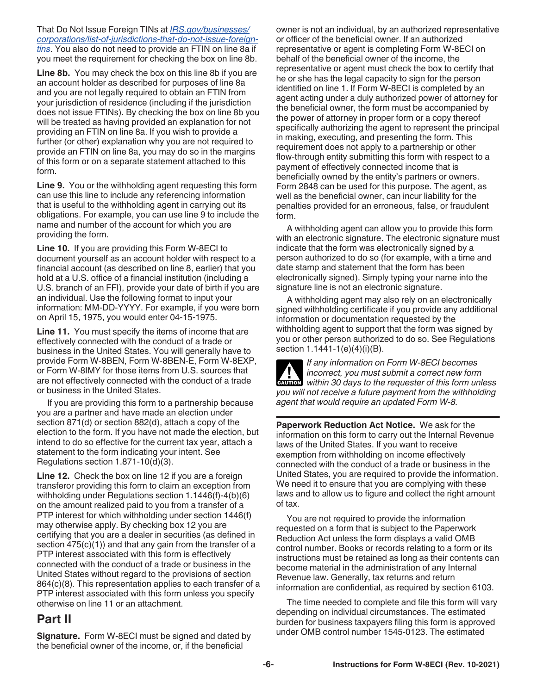<span id="page-5-0"></span>That Do Not Issue Foreign TINs at *[IRS.gov/businesses/](https://www.irs.gov/businesses/corporations/list-of-jurisdictions-that-do-not-issue-foreign-tins) [corporations/list-of-jurisdictions-that-do-not-issue-foreign](https://www.irs.gov/businesses/corporations/list-of-jurisdictions-that-do-not-issue-foreign-tins)[tins](https://www.irs.gov/businesses/corporations/list-of-jurisdictions-that-do-not-issue-foreign-tins)*. You also do not need to provide an FTIN on line 8a if you meet the requirement for checking the box on line 8b.

**Line 8b.** You may check the box on this line 8b if you are an account holder as described for purposes of line 8a and you are not legally required to obtain an FTIN from your jurisdiction of residence (including if the jurisdiction does not issue FTINs). By checking the box on line 8b you will be treated as having provided an explanation for not providing an FTIN on line 8a. If you wish to provide a further (or other) explanation why you are not required to provide an FTIN on line 8a, you may do so in the margins of this form or on a separate statement attached to this form.

**Line 9.** You or the withholding agent requesting this form can use this line to include any referencing information that is useful to the withholding agent in carrying out its obligations. For example, you can use line 9 to include the name and number of the account for which you are providing the form.

**Line 10.** If you are providing this Form W-8ECI to document yourself as an account holder with respect to a financial account (as described on line 8, earlier) that you hold at a U.S. office of a financial institution (including a U.S. branch of an FFI), provide your date of birth if you are an individual. Use the following format to input your information: MM-DD-YYYY. For example, if you were born on April 15, 1975, you would enter 04-15-1975.

**Line 11.** You must specify the items of income that are effectively connected with the conduct of a trade or business in the United States. You will generally have to provide Form W-8BEN, Form W-8BEN-E, Form W-8EXP, or Form W-8IMY for those items from U.S. sources that are not effectively connected with the conduct of a trade or business in the United States.

If you are providing this form to a partnership because you are a partner and have made an election under section 871(d) or section 882(d), attach a copy of the election to the form. If you have not made the election, but intend to do so effective for the current tax year, attach a statement to the form indicating your intent. See Regulations section 1.871-10(d)(3).

**Line 12.** Check the box on line 12 if you are a foreign transferor providing this form to claim an exception from withholding under Regulations section 1.1446(f)-4(b)(6) on the amount realized paid to you from a transfer of a PTP interest for which withholding under section 1446(f) may otherwise apply. By checking box 12 you are certifying that you are a dealer in securities (as defined in section 475(c)(1)) and that any gain from the transfer of a PTP interest associated with this form is effectively connected with the conduct of a trade or business in the United States without regard to the provisions of section 864(c)(8). This representation applies to each transfer of a PTP interest associated with this form unless you specify otherwise on line 11 or an attachment.

#### **Part II**

**Signature.** Form W-8ECI must be signed and dated by the beneficial owner of the income, or, if the beneficial

owner is not an individual, by an authorized representative or officer of the beneficial owner. If an authorized representative or agent is completing Form W-8ECI on behalf of the beneficial owner of the income, the representative or agent must check the box to certify that he or she has the legal capacity to sign for the person identified on line 1. If Form W-8ECI is completed by an agent acting under a duly authorized power of attorney for the beneficial owner, the form must be accompanied by the power of attorney in proper form or a copy thereof specifically authorizing the agent to represent the principal in making, executing, and presenting the form. This requirement does not apply to a partnership or other flow-through entity submitting this form with respect to a payment of effectively connected income that is beneficially owned by the entity's partners or owners. Form 2848 can be used for this purpose. The agent, as well as the beneficial owner, can incur liability for the penalties provided for an erroneous, false, or fraudulent form.

A withholding agent can allow you to provide this form with an electronic signature. The electronic signature must indicate that the form was electronically signed by a person authorized to do so (for example, with a time and date stamp and statement that the form has been electronically signed). Simply typing your name into the signature line is not an electronic signature.

A withholding agent may also rely on an electronically signed withholding certificate if you provide any additional information or documentation requested by the withholding agent to support that the form was signed by you or other person authorized to do so. See Regulations section 1.1441-1(e)(4)(i)(B).



*If any information on Form W-8ECI becomes incorrect, you must submit a correct new form within 30 days to the requester of this form unless you will not receive a future payment from the withholding agent that would require an updated Form W-8.*

**Paperwork Reduction Act Notice.** We ask for the information on this form to carry out the Internal Revenue laws of the United States. If you want to receive exemption from withholding on income effectively connected with the conduct of a trade or business in the United States, you are required to provide the information. We need it to ensure that you are complying with these laws and to allow us to figure and collect the right amount of tax.

You are not required to provide the information requested on a form that is subject to the Paperwork Reduction Act unless the form displays a valid OMB control number. Books or records relating to a form or its instructions must be retained as long as their contents can become material in the administration of any Internal Revenue law. Generally, tax returns and return information are confidential, as required by section 6103.

The time needed to complete and file this form will vary depending on individual circumstances. The estimated burden for business taxpayers filing this form is approved under OMB control number 1545-0123. The estimated